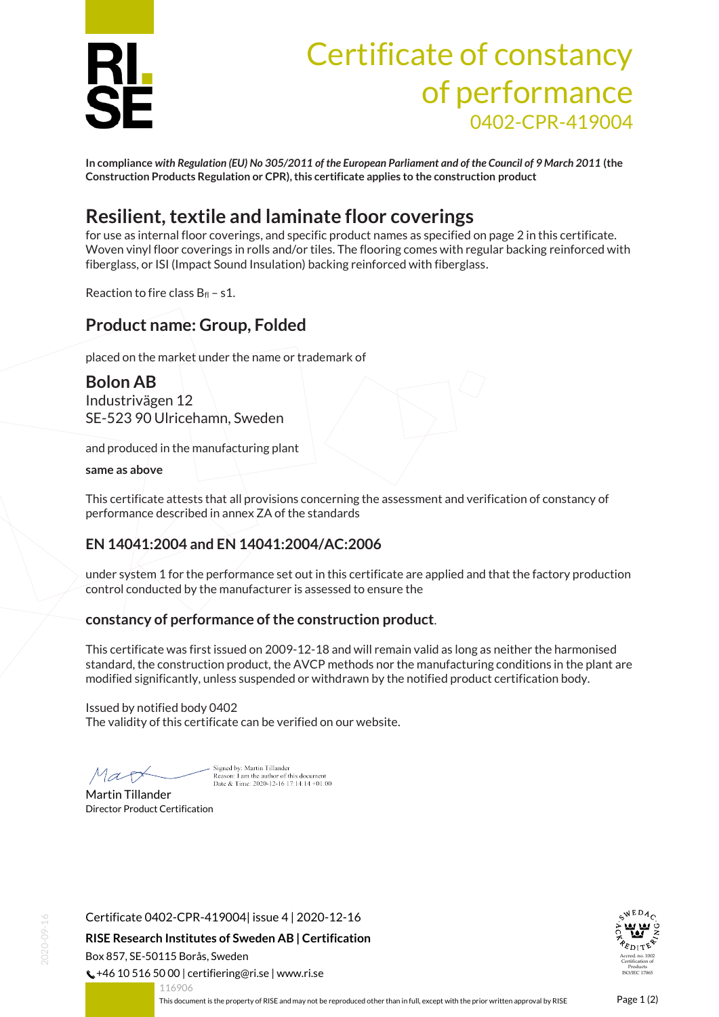

# Certificate of constancy of performance 0402-CPR-419004

**In compliance** *with Regulation (EU) No 305/2011 of the European Parliament and of the Council of 9 March 2011* **(the Construction Products Regulation or CPR), this certificate applies to the construction product**

# **Resilient, textile and laminate floor coverings**

for use as internal floor coverings, and specific product names as specified on page 2 in this certificate. Woven vinyl floor coverings in rolls and/or tiles. The flooring comes with regular backing reinforced with fiberglass, or ISI (Impact Sound Insulation) backing reinforced with fiberglass.

Reaction to fire class  $B_{fl}$  – s1.

## **Product name: Group, Folded**

placed on the market under the name or trademark of

### **Bolon AB**

Industrivägen 12 SE-523 90 Ulricehamn, Sweden

and produced in the manufacturing plant

**same as above**

This certificate attests that all provisions concerning the assessment and verification of constancy of performance described in annex ZA of the standards

#### **EN 14041:2004 and EN 14041:2004/AC:2006**

under system 1 for the performance set out in this certificate are applied and that the factory production control conducted by the manufacturer is assessed to ensure the

#### **constancy of performance of the construction product**.

This certificate was first issued on 2009-12-18 and will remain valid as long as neither the harmonised standard, the construction product, the AVCP methods nor the manufacturing conditions in the plant are modified significantly, unless suspended or withdrawn by the notified product certification body.

Issued by notified body 0402 The validity of this certificate can be verified on our website.

Mart

Sioned by: Martin Tillander Reason: I am the author of this document<br>Date & Time: 2020-12-16 17:14:14 +01:00

Martin Tillander Director Product Certification

Certificate 0402-CPR-419004| issue 4 | 2020-12-16 **RISE Research Institutes of Sweden AB | Certification** Box 857, SE-50115 Borås, Sweden  $\binom{1}{2}$  +46 10 516 50 00 | certifiering@ri.se | www.ri.se

<span id="page-0-0"></span>116906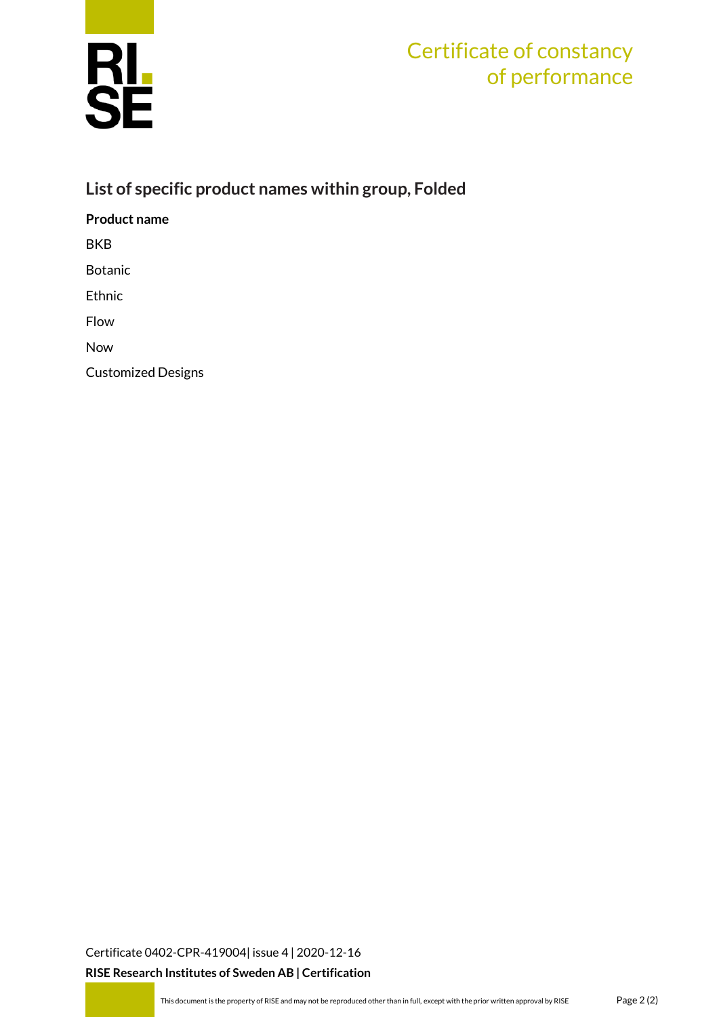

# Certificate of constancy of performance

## **List of specific product names within group, Folded**

**Product name**

BKB

Botanic

Ethnic

Flow

Now

Customized Designs

[Certificate 0402-CPR-419004| issue 4](#page-0-0) | 2020-12-16

**RISE Research Institutes of Sweden AB | Certification**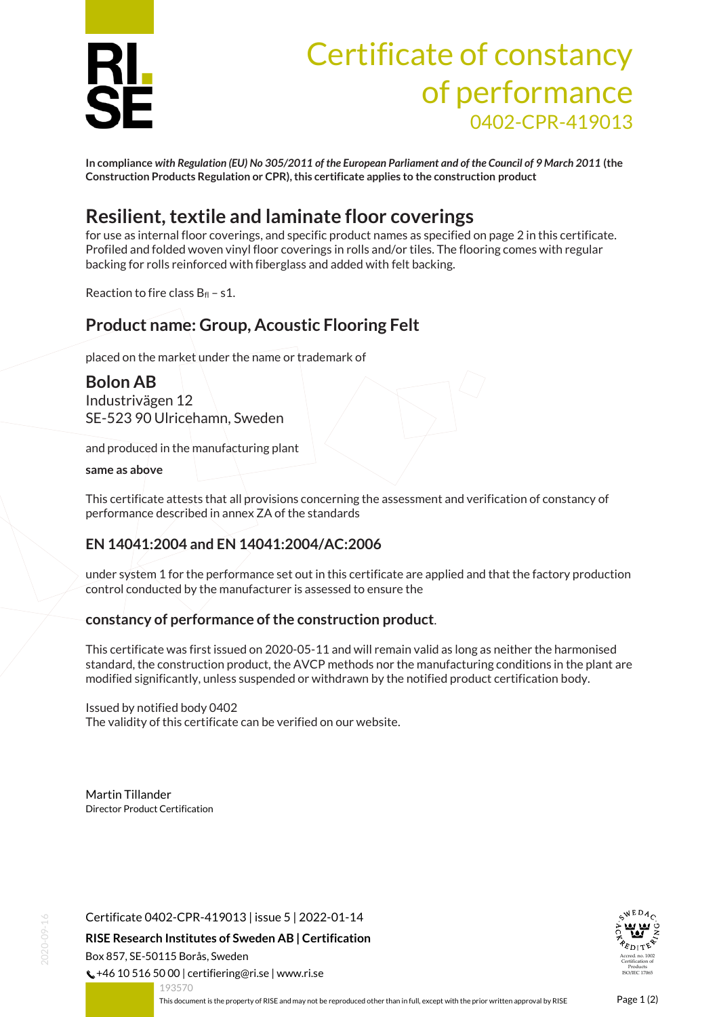

# Certificate of constancy of performance 0402-CPR-419013

**In compliance** *with Regulation (EU) No 305/2011 of the European Parliament and of the Council of 9 March 2011* **(the Construction Products Regulation or CPR), this certificate applies to the construction product**

# **Resilient, textile and laminate floor coverings**

for use as internal floor coverings, and specific product names as specified on page 2 in this certificate. Profiled and folded woven vinyl floor coverings in rolls and/or tiles. The flooring comes with regular backing for rolls reinforced with fiberglass and added with felt backing.

Reaction to fire class  $B_{fl}$  – s1.

## **Product name: Group, Acoustic Flooring Felt**

placed on the market under the name or trademark of

#### **Bolon AB** Industrivägen 12 SE-523 90 Ulricehamn, Sweden

and produced in the manufacturing plant

**same as above**

This certificate attests that all provisions concerning the assessment and verification of constancy of performance described in annex ZA of the standards

#### **EN 14041:2004 and EN 14041:2004/AC:2006**

under system 1 for the performance set out in this certificate are applied and that the factory production control conducted by the manufacturer is assessed to ensure the

#### **constancy of performance of the construction product**.

This certificate was first issued on 2020-05-11 and will remain valid as long as neither the harmonised standard, the construction product, the AVCP methods nor the manufacturing conditions in the plant are modified significantly, unless suspended or withdrawn by the notified product certification body.

Issued by notified body 0402

The validity of this certificate can be verified on our website.

Martin Tillander Director Product Certification

Certificate 0402-CPR-419013 | issue 5 | 2022-01-14

**RISE Research Institutes of Sweden AB | Certification** Box 857, SE-50115 Borås, Sweden

 $\binom{1}{2}$  +46 10 516 50 00 | certifiering@ri.se | www.ri.se



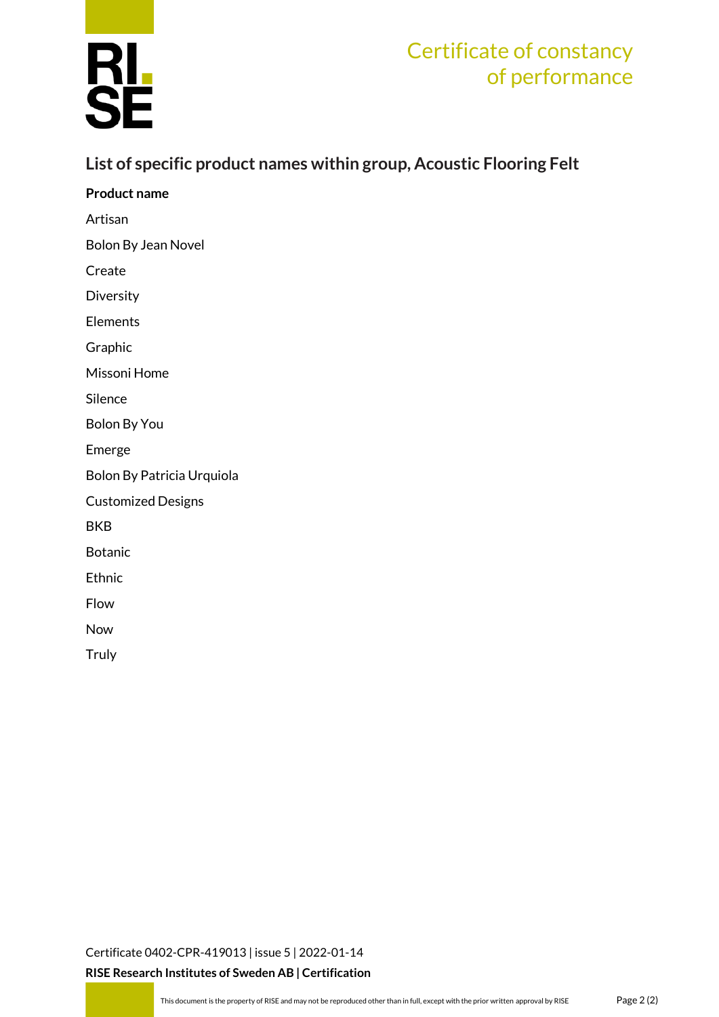

# Certificate of constancy of performance

### **List of specific product names within group, Acoustic Flooring Felt**

| <b>Product name</b>        |
|----------------------------|
| Artisan                    |
| Bolon By Jean Novel        |
| Create                     |
| Diversity                  |
| Elements                   |
| Graphic                    |
| Missoni Home               |
| Silence                    |
| <b>Bolon By You</b>        |
| Emerge                     |
| Bolon By Patricia Urquiola |
| <b>Customized Designs</b>  |
| <b>BKB</b>                 |
| <b>Botanic</b>             |
| Ethnic                     |
| Flow                       |
| Now                        |
| Truly                      |
|                            |

[Certificate 0402-CPR-419013](#page-0-0) | issue 5 | 2022-01-14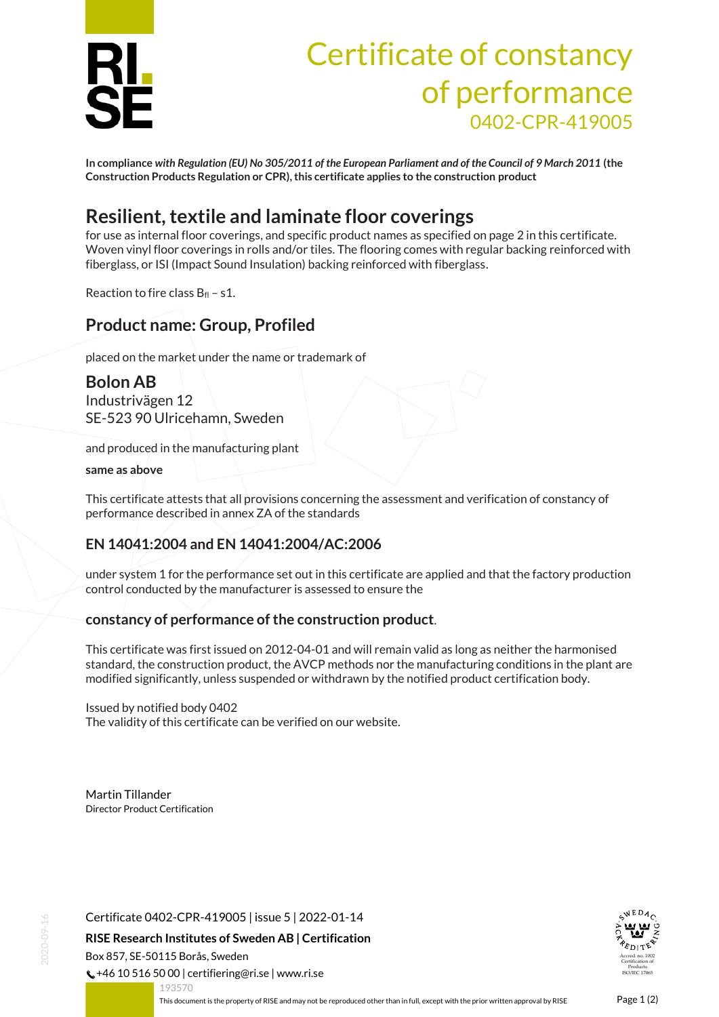

# Certificate of constancy of performance 0402-CPR-419005

**In compliance** *with Regulation (EU) No 305/2011 of the European Parliament and of the Council of 9 March 2011* **(the Construction Products Regulation or CPR), this certificate applies to the construction product**

# **Resilient, textile and laminate floor coverings**

for use as internal floor coverings, and specific product names as specified on page 2 in this certificate. Woven vinyl floor coverings in rolls and/or tiles. The flooring comes with regular backing reinforced with fiberglass, or ISI (Impact Sound Insulation) backing reinforced with fiberglass.

Reaction to fire class  $B_{fl}$  – s1.

### **Product name: Group, Profiled**

placed on the market under the name or trademark of

### **Bolon AB**

Industrivägen 12 SE-523 90 Ulricehamn, Sweden

and produced in the manufacturing plant

**same as above**

This certificate attests that all provisions concerning the assessment and verification of constancy of performance described in annex ZA of the standards

#### **EN 14041:2004 and EN 14041:2004/AC:2006**

under system 1 for the performance set out in this certificate are applied and that the factory production control conducted by the manufacturer is assessed to ensure the

#### **constancy of performance of the construction product**.

This certificate was first issued on 2012-04-01 and will remain valid as long as neither the harmonised standard, the construction product, the AVCP methods nor the manufacturing conditions in the plant are modified significantly, unless suspended or withdrawn by the notified product certification body.

Issued by notified body 0402

The validity of this certificate can be verified on our website.

Martin Tillander Director Product Certification

Certificate 0402-CPR-419005 | issue 5 | 2022-01-14

**RISE Research Institutes of Sweden AB | Certification** Box 857, SE-50115 Borås, Sweden

 $\binom{1}{2}$  +46 10 516 50 00 | certifiering@ri.se | www.ri.se